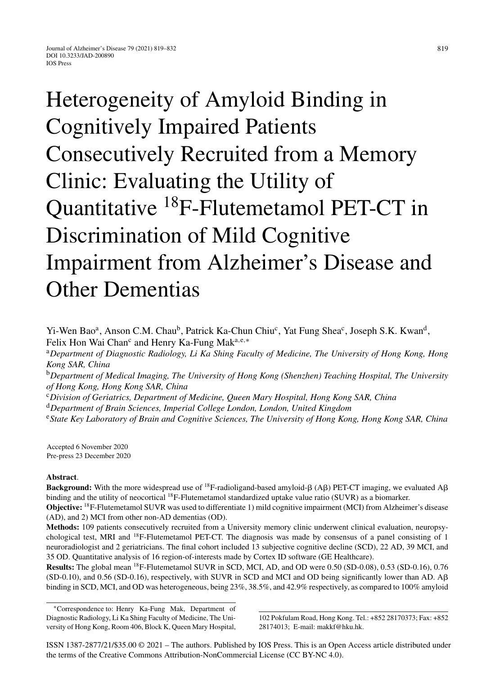Heterogeneity of Amyloid Binding in Cognitively Impaired Patients Consecutively Recruited from a Memory Clinic: Evaluating the Utility of Quantitative 18F-Flutemetamol PET-CT in Discrimination of Mild Cognitive Impairment from Alzheimer's Disease and Other Dementias

Yi-Wen Bao<sup>a</sup>, Anson C.M. Chau<sup>b</sup>, Patrick Ka-Chun Chiu<sup>c</sup>, Yat Fung Shea<sup>c</sup>, Joseph S.K. Kwan<sup>d</sup>, Felix Hon Wai Chan<sup>c</sup> and Henry Ka-Fung Mak<sup>a,e,∗</sup>

<sup>a</sup>*Department of Diagnostic Radiology, Li Ka Shing Faculty of Medicine, The University of Hong Kong, Hong Kong SAR, China*

<sup>b</sup>*Department of Medical Imaging, The University of Hong Kong (Shenzhen) Teaching Hospital, The University of Hong Kong, Hong Kong SAR, China*

<sup>c</sup>*Division of Geriatrics, Department of Medicine, Queen Mary Hospital, Hong Kong SAR, China*

<sup>d</sup>*Department of Brain Sciences, Imperial College London, London, United Kingdom*

<sup>e</sup>*State Key Laboratory of Brain and Cognitive Sciences, The University of Hong Kong, Hong Kong SAR, China*

Accepted 6 November 2020 Pre-press 23 December 2020

## **Abstract**.

**Background:** With the more widespread use of <sup>18</sup>F-radioligand-based amyloid- $\beta$  (A $\beta$ ) PET-CT imaging, we evaluated A $\beta$ binding and the utility of neocortical 18F-Flutemetamol standardized uptake value ratio (SUVR) as a biomarker.

**Objective:** 18F-Flutemetamol SUVR was used to differentiate 1) mild cognitive impairment (MCI) from Alzheimer's disease (AD), and 2) MCI from other non-AD dementias (OD).

**Methods:** 109 patients consecutively recruited from a University memory clinic underwent clinical evaluation, neuropsychological test, MRI and <sup>18</sup>F-Flutemetamol PET-CT. The diagnosis was made by consensus of a panel consisting of 1 neuroradiologist and 2 geriatricians. The final cohort included 13 subjective cognitive decline (SCD), 22 AD, 39 MCI, and 35 OD. Quantitative analysis of 16 region-of-interests made by Cortex ID software (GE Healthcare).

**Results:** The global mean 18F-Flutemetamol SUVR in SCD, MCI, AD, and OD were 0.50 (SD-0.08), 0.53 (SD-0.16), 0.76  $(SD-0.10)$ , and 0.56  $(SD-0.16)$ , respectively, with SUVR in SCD and MCI and OD being significantly lower than AD. A $\beta$ binding in SCD, MCI, and OD was heterogeneous, being 23%, 38.5%, and 42.9% respectively, as compared to 100% amyloid

∗Correspondence to: Henry Ka-Fung Mak, Department of Diagnostic Radiology, Li Ka Shing Faculty of Medicine, The University of Hong Kong, Room 406, Block K, Queen Mary Hospital,

102 Pokfulam Road, Hong Kong. Tel.: +852 28170373; Fax: +852 28174013; E-mail: [makkf@hku.hk](mailto:makkf@hku.hk).

ISSN 1387-2877/21/\$35.00 © 2021 – The authors. Published by IOS Press. This is an Open Access article distributed under the terms of the [Creative Commons Attribution-NonCommercial License \(CC BY-NC 4.0\).](https://creativecommons.org/licenses/by-nc/4.0/)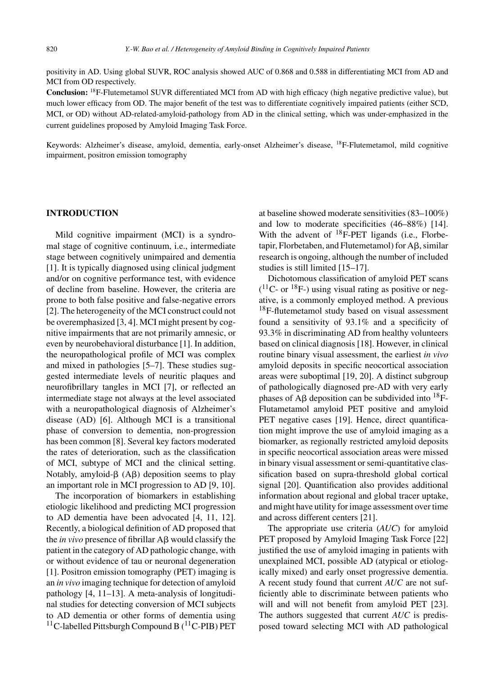positivity in AD. Using global SUVR, ROC analysis showed AUC of 0.868 and 0.588 in differentiating MCI from AD and MCI from OD respectively.

**Conclusion:** 18F-Flutemetamol SUVR differentiated MCI from AD with high efficacy (high negative predictive value), but much lower efficacy from OD. The major benefit of the test was to differentiate cognitively impaired patients (either SCD, MCI, or OD) without AD-related-amyloid-pathology from AD in the clinical setting, which was under-emphasized in the current guidelines proposed by Amyloid Imaging Task Force.

Keywords: Alzheimer's disease, amyloid, dementia, early-onset Alzheimer's disease, 18F-Flutemetamol, mild cognitive impairment, positron emission tomography

## **INTRODUCTION**

Mild cognitive impairment (MCI) is a syndromal stage of cognitive continuum, i.e., intermediate stage between cognitively unimpaired and dementia [1]. It is typically diagnosed using clinical judgment and/or on cognitive performance test, with evidence of decline from baseline. However, the criteria are prone to both false positive and false-negative errors [2]. The heterogeneity of the MCI construct could not be overemphasized [3, 4]. MCI might present by cognitive impairments that are not primarily amnesic, or even by neurobehavioral disturbance [1]. In addition, the neuropathological profile of MCI was complex and mixed in pathologies [5–7]. These studies suggested intermediate levels of neuritic plaques and neurofibrillary tangles in MCI [7], or reflected an intermediate stage not always at the level associated with a neuropathological diagnosis of Alzheimer's disease (AD) [6]. Although MCI is a transitional phase of conversion to dementia, non-progression has been common [8]. Several key factors moderated the rates of deterioration, such as the classification of MCI, subtype of MCI and the clinical setting. Notably, amyloid- $\beta$  (A $\beta$ ) deposition seems to play an important role in MCI progression to AD [9, 10].

The incorporation of biomarkers in establishing etiologic likelihood and predicting MCI progression to AD dementia have been advocated [4, 11, 12]. Recently, a biological definition of AD proposed that the *in vivo* presence of fibrillar  $\text{A}\beta$  would classify the patient in the category of AD pathologic change, with or without evidence of tau or neuronal degeneration [1]. Positron emission tomography (PET) imaging is an *in vivo* imaging technique for detection of amyloid pathology [4, 11–13]. A meta-analysis of longitudinal studies for detecting conversion of MCI subjects to AD dementia or other forms of dementia using <sup>11</sup>C-labelled Pittsburgh Compound B (<sup>11</sup>C-PIB) PET

at baseline showed moderate sensitivities (83–100%) and low to moderate specificities (46–88%) [14]. With the advent of  $^{18}$ F-PET ligands (i.e., Florbe $t$ apir, Florbetaben, and Flutemetamol) for  $A\beta$ , similar research is ongoing, although the number of included studies is still limited [15–17].

Dichotomous classification of amyloid PET scans  $(^{11}C$ - or  $^{18}F$ -) using visual rating as positive or negative, is a commonly employed method. A previous  $18$ F-flutemetamol study based on visual assessment found a sensitivity of 93.1% and a specificity of 93.3% in discriminating AD from healthy volunteers based on clinical diagnosis [18]. However, in clinical routine binary visual assessment, the earliest *in vivo* amyloid deposits in specific neocortical association areas were suboptimal [19, 20]. A distinct subgroup of pathologically diagnosed pre-AD with very early phases of A $\beta$  deposition can be subdivided into <sup>18</sup>F-Flutametamol amyloid PET positive and amyloid PET negative cases [19]. Hence, direct quantification might improve the use of amyloid imaging as a biomarker, as regionally restricted amyloid deposits in specific neocortical association areas were missed in binary visual assessment or semi-quantitative classification based on supra-threshold global cortical signal [20]. Quantification also provides additional information about regional and global tracer uptake, and might have utility for image assessment over time and across different centers [21].

The appropriate use criteria (*AUC*) for amyloid PET proposed by Amyloid Imaging Task Force [22] justified the use of amyloid imaging in patients with unexplained MCI, possible AD (atypical or etiologically mixed) and early onset progressive dementia. A recent study found that current *AUC* are not sufficiently able to discriminate between patients who will and will not benefit from amyloid PET [23]. The authors suggested that current *AUC* is predisposed toward selecting MCI with AD pathological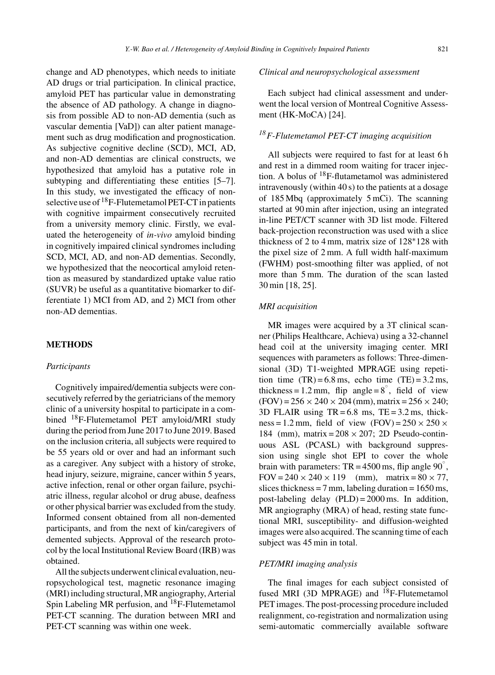change and AD phenotypes, which needs to initiate AD drugs or trial participation. In clinical practice, amyloid PET has particular value in demonstrating the absence of AD pathology. A change in diagnosis from possible AD to non-AD dementia (such as vascular dementia [VaD]) can alter patient management such as drug modification and prognostication. As subjective cognitive decline (SCD), MCI, AD, and non-AD dementias are clinical constructs, we hypothesized that amyloid has a putative role in subtyping and differentiating these entities [5–7]. In this study, we investigated the efficacy of nonselective use of <sup>18</sup>F-Flutemetamol PET-CT in patients with cognitive impairment consecutively recruited from a university memory clinic. Firstly, we evaluated the heterogeneity of *in-vivo* amyloid binding in cognitively impaired clinical syndromes including SCD, MCI, AD, and non-AD dementias. Secondly, we hypothesized that the neocortical amyloid retention as measured by standardized uptake value ratio (SUVR) be useful as a quantitative biomarker to differentiate 1) MCI from AD, and 2) MCI from other non-AD dementias.

## **METHODS**

#### *Participants*

Cognitively impaired/dementia subjects were consecutively referred by the geriatricians of the memory clinic of a university hospital to participate in a combined 18F-Flutemetamol PET amyloid/MRI study during the period from June 2017 to June 2019. Based on the inclusion criteria, all subjects were required to be 55 years old or over and had an informant such as a caregiver. Any subject with a history of stroke, head injury, seizure, migraine, cancer within 5 years, active infection, renal or other organ failure, psychiatric illness, regular alcohol or drug abuse, deafness or other physical barrier was excluded from the study. Informed consent obtained from all non-demented participants, and from the next of kin/caregivers of demented subjects. Approval of the research protocol by the local Institutional Review Board (IRB) was obtained.

All the subjects underwent clinical evaluation, neuropsychological test, magnetic resonance imaging (MRI) including structural, MR angiography, Arterial Spin Labeling MR perfusion, and <sup>18</sup>F-Flutemetamol PET-CT scanning. The duration between MRI and PET-CT scanning was within one week.

## *Clinical and neuropsychological assessment*

Each subject had clinical assessment and underwent the local version of Montreal Cognitive Assessment (HK-MoCA) [24].

## *18F-Flutemetamol PET-CT imaging acquisition*

All subjects were required to fast for at least 6 h and rest in a dimmed room waiting for tracer injection. A bolus of 18F-flutametamol was administered intravenously (within 40 s) to the patients at a dosage of 185 Mbq (approximately 5 mCi). The scanning started at 90 min after injection, using an integrated in-line PET/CT scanner with 3D list mode. Filtered back-projection reconstruction was used with a slice thickness of 2 to 4 mm, matrix size of 128∗128 with the pixel size of 2 mm. A full width half-maximum (FWHM) post-smoothing filter was applied, of not more than 5 mm. The duration of the scan lasted 30 min [18, 25].

#### *MRI acquisition*

MR images were acquired by a 3T clinical scanner (Philips Healthcare, Achieva) using a 32-channel head coil at the university imaging center. MRI sequences with parameters as follows: Three-dimensional (3D) T1-weighted MPRAGE using repetition time  $(TR) = 6.8$  ms, echo time  $(TE) = 3.2$  ms, thickness = 1.2 mm, flip angle =  $8^\circ$ , field of view  $(FOV) = 256 \times 240 \times 204$  (mm), matrix = 256  $\times$  240; 3D FLAIR using  $TR = 6.8$  ms,  $TE = 3.2$  ms, thickness = 1.2 mm, field of view  $(FOV) = 250 \times 250 \times$ 184 (mm), matrix =  $208 \times 207$ ; 2D Pseudo-continuous ASL (PCASL) with background suppression using single shot EPI to cover the whole brain with parameters: TR = 4500 ms, flip angle  $90^\circ$ , FOV =  $240 \times 240 \times 119$  (mm), matrix =  $80 \times 77$ , slices thickness = 7 mm, labeling duration =  $1650 \text{ ms}$ , post-labeling delay (PLD) = 2000 ms. In addition, MR angiography (MRA) of head, resting state functional MRI, susceptibility- and diffusion-weighted images were also acquired. The scanning time of each subject was 45 min in total.

#### *PET/MRI imaging analysis*

The final images for each subject consisted of fused MRI (3D MPRAGE) and  $^{18}$ F-Flutemetamol PET images. The post-processing procedure included realignment, co-registration and normalization using semi-automatic commercially available software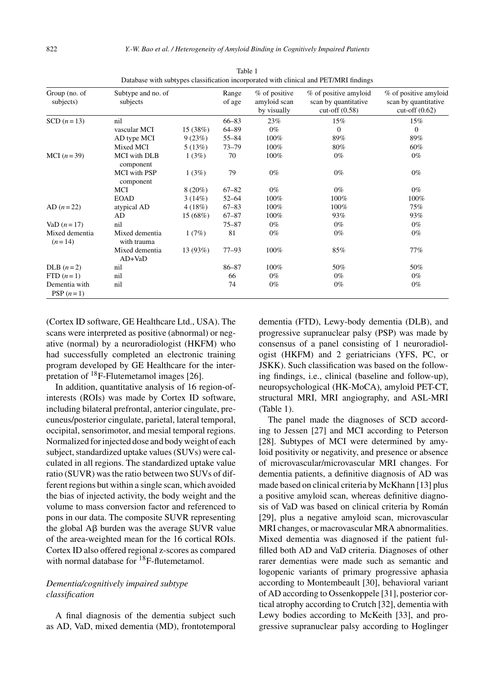| Group (no. of<br>subjects)   | Subtype and no. of<br>subjects   |           | Range<br>of age | % of positive<br>amyloid scan<br>by visually | % of positive amyloid<br>scan by quantitative<br>cut-off $(0.58)$ | % of positive amyloid<br>scan by quantitative<br>cut-off $(0.62)$ |
|------------------------------|----------------------------------|-----------|-----------------|----------------------------------------------|-------------------------------------------------------------------|-------------------------------------------------------------------|
| SCD $(n=13)$                 | nil                              |           | $66 - 83$       | 23%                                          | 15%                                                               | 15%                                                               |
|                              | vascular MCI                     | 15 (38%)  | $64 - 89$       | $0\%$                                        | $\mathbf{0}$                                                      | $\Omega$                                                          |
|                              | AD type MCI                      | 9(23%)    | $55 - 84$       | 100%                                         | 89%                                                               | 89%                                                               |
|                              | Mixed MCI                        | 5(13%)    | $73 - 79$       | 100%                                         | 80%                                                               | 60%                                                               |
| MCI $(n=39)$                 | <b>MCI</b> with DLB<br>component | 1(3%)     | 70              | 100%                                         | $0\%$                                                             | $0\%$                                                             |
|                              | MCI with PSP<br>component        | 1(3%)     | 79              | $0\%$                                        | $0\%$                                                             | $0\%$                                                             |
|                              | MCI                              | $8(20\%)$ | $67 - 82$       | $0\%$                                        | $0\%$                                                             | $0\%$                                                             |
|                              | <b>EOAD</b>                      | 3(14%)    | $52 - 64$       | 100%                                         | 100%                                                              | 100%                                                              |
| $AD (n = 22)$                | atypical AD                      | 4(18%)    | $67 - 83$       | 100%                                         | 100%                                                              | 75%                                                               |
|                              | AD                               | 15(68%)   | $67 - 87$       | 100%                                         | 93%                                                               | 93%                                                               |
| VaD $(n = 17)$               | nil                              |           | $75 - 87$       | $0\%$                                        | $0\%$                                                             | $0\%$                                                             |
| Mixed dementia<br>$(n=14)$   | Mixed dementia<br>with trauma    | 1(7%)     | 81              | $0\%$                                        | $0\%$                                                             | $0\%$                                                             |
|                              | Mixed dementia<br>$AD+VaD$       | 13(93%)   | $77 - 93$       | 100%                                         | 85%                                                               | 77%                                                               |
| DLB $(n=2)$                  | nil                              |           | $86 - 87$       | 100%                                         | 50%                                                               | 50%                                                               |
| $FTD(n=1)$                   | nil                              |           | 66              | $0\%$                                        | $0\%$                                                             | $0\%$                                                             |
| Dementia with<br>PSP $(n=1)$ | nil                              |           | 74              | $0\%$                                        | $0\%$                                                             | $0\%$                                                             |

Table 1 Database with subtypes classification incorporated with clinical and PET/MRI findings

(Cortex ID software, GE Healthcare Ltd., USA). The scans were interpreted as positive (abnormal) or negative (normal) by a neuroradiologist (HKFM) who had successfully completed an electronic training program developed by GE Healthcare for the interpretation of  $^{18}$ F-Flutemetamol images [26].

In addition, quantitative analysis of 16 region-ofinterests (ROIs) was made by Cortex ID software, including bilateral prefrontal, anterior cingulate, precuneus/posterior cingulate, parietal, lateral temporal, occipital, sensorimotor, and mesial temporal regions. Normalized for injected dose and body weight of each subject, standardized uptake values (SUVs) were calculated in all regions. The standardized uptake value ratio (SUVR) was the ratio between two SUVs of different regions but within a single scan, which avoided the bias of injected activity, the body weight and the volume to mass conversion factor and referenced to pons in our data. The composite SUVR representing the global  $\overline{AB}$  burden was the average SUVR value of the area-weighted mean for the 16 cortical ROIs. Cortex ID also offered regional z-scores as compared with normal database for <sup>18</sup>F-flutemetamol.

## *Dementia/cognitively impaired subtype classification*

A final diagnosis of the dementia subject such as AD, VaD, mixed dementia (MD), frontotemporal dementia (FTD), Lewy-body dementia (DLB), and progressive supranuclear palsy (PSP) was made by consensus of a panel consisting of 1 neuroradiologist (HKFM) and 2 geriatricians (YFS, PC, or JSKK). Such classification was based on the following findings, i.e., clinical (baseline and follow-up), neuropsychological (HK-MoCA), amyloid PET-CT, structural MRI, MRI angiography, and ASL-MRI (Table 1).

The panel made the diagnoses of SCD according to Jessen [27] and MCI according to Peterson [28]. Subtypes of MCI were determined by amyloid positivity or negativity, and presence or absence of microvascular/microvascular MRI changes. For dementia patients, a definitive diagnosis of AD was made based on clinical criteria by McKhann [13] plus a positive amyloid scan, whereas definitive diagnosis of VaD was based on clinical criteria by Román [29], plus a negative amyloid scan, microvascular MRI changes, or macrovascular MRA abnormalities. Mixed dementia was diagnosed if the patient fulfilled both AD and VaD criteria. Diagnoses of other rarer dementias were made such as semantic and logopenic variants of primary progressive aphasia according to Montembeault [30], behavioral variant of AD according to Ossenkoppele [31], posterior cortical atrophy according to Crutch [32], dementia with Lewy bodies according to McKeith [33], and progressive supranuclear palsy according to Hoglinger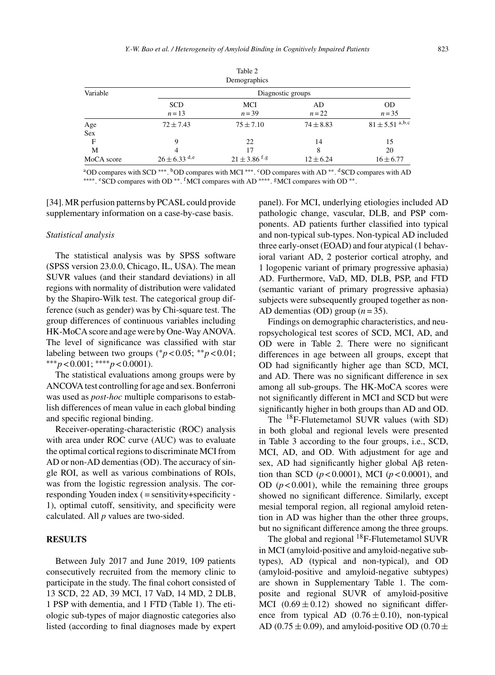Table 2

|                   |                      | $1$ ave $\epsilon$<br>Demographics |                |                                |  |  |  |
|-------------------|----------------------|------------------------------------|----------------|--------------------------------|--|--|--|
| Variable          | Diagnostic groups    |                                    |                |                                |  |  |  |
|                   | <b>SCD</b><br>$n=13$ | MCI<br>$n = 39$                    | AD<br>$n = 22$ | <b>OD</b><br>$n = 35$          |  |  |  |
| Age<br><b>Sex</b> | $72 \pm 7.43$        | $75 \pm 7.10$                      | $74 \pm 8.83$  | $81 \pm 5.51$ <sup>a,b,c</sup> |  |  |  |
| F                 | 9                    | 22                                 | 14             | 15                             |  |  |  |
| M                 | 4                    | 17                                 | 8              | 20                             |  |  |  |
| MoCA score        | $26 \pm 6.33$ d,e    | $21 \pm 3.86$ f,g                  | $12 \pm 6.24$  | $16 \pm 6.77$                  |  |  |  |

aOD compares with SCD \*\*\*. <sup>b</sup>OD compares with MCI<sup>\*\*\*</sup>. <sup>c</sup>OD compares with AD<sup>\*\*</sup>. <sup>d</sup>SCD compares with AD ∗∗∗∗. eSCD compares with OD ∗∗. fMCI compares with AD ∗∗∗∗. gMCI compares with OD ∗∗.

[34]. MR perfusion patterns by PCASL could provide supplementary information on a case-by-case basis.

#### *Statistical analysis*

The statistical analysis was by SPSS software (SPSS version 23.0.0, Chicago, IL, USA). The mean SUVR values (and their standard deviations) in all regions with normality of distribution were validated by the Shapiro-Wilk test. The categorical group difference (such as gender) was by Chi-square test. The group differences of continuous variables including HK-MoCA score and age were by One-Way ANOVA. The level of significance was classified with star labeling between two groups ( $p$  < 0.05; \*\* $p$  < 0.01; ∗∗∗*p* < 0.001; ∗∗∗∗*p* < 0.0001).

The statistical evaluations among groups were by ANCOVA test controlling for age and sex. Bonferroni was used as *post-hoc* multiple comparisons to establish differences of mean value in each global binding and specific regional binding.

Receiver-operating-characteristic (ROC) analysis with area under ROC curve (AUC) was to evaluate the optimal cortical regions to discriminate MCI from AD or non-AD dementias (OD). The accuracy of single ROI, as well as various combinations of ROIs, was from the logistic regression analysis. The corresponding Youden index ( = sensitivity+specificity - 1), optimal cutoff, sensitivity, and specificity were calculated. All *p* values are two-sided.

#### **RESULTS**

Between July 2017 and June 2019, 109 patients consecutively recruited from the memory clinic to participate in the study. The final cohort consisted of 13 SCD, 22 AD, 39 MCI, 17 VaD, 14 MD, 2 DLB, 1 PSP with dementia, and 1 FTD (Table 1). The etiologic sub-types of major diagnostic categories also listed (according to final diagnoses made by expert

panel). For MCI, underlying etiologies included AD pathologic change, vascular, DLB, and PSP components. AD patients further classified into typical and non-typical sub-types. Non-typical AD included three early-onset (EOAD) and four atypical (1 behavioral variant AD, 2 posterior cortical atrophy, and 1 logopenic variant of primary progressive aphasia) AD. Furthermore, VaD, MD, DLB, PSP, and FTD (semantic variant of primary progressive aphasia) subjects were subsequently grouped together as non-AD dementias (OD) group  $(n=35)$ .

Findings on demographic characteristics, and neuropsychological test scores of SCD, MCI, AD, and OD were in Table 2. There were no significant differences in age between all groups, except that OD had significantly higher age than SCD, MCI, and AD. There was no significant difference in sex among all sub-groups. The HK-MoCA scores were not significantly different in MCI and SCD but were significantly higher in both groups than AD and OD.

The 18F-Flutemetamol SUVR values (with SD) in both global and regional levels were presented in Table 3 according to the four groups, i.e., SCD, MCI, AD, and OD. With adjustment for age and sex, AD had significantly higher global  $A\beta$  retention than SCD (*p* < 0.0001), MCI (*p* < 0.0001), and OD  $(p<0.001)$ , while the remaining three groups showed no significant difference. Similarly, except mesial temporal region, all regional amyloid retention in AD was higher than the other three groups, but no significant difference among the three groups.

The global and regional <sup>18</sup>F-Flutemetamol SUVR in MCI (amyloid-positive and amyloid-negative subtypes), AD (typical and non-typical), and OD (amyloid-positive and amyloid-negative subtypes) are shown in Supplementary Table 1. The composite and regional SUVR of amyloid-positive MCI  $(0.69 \pm 0.12)$  showed no significant difference from typical AD  $(0.76 \pm 0.10)$ , non-typical AD (0.75  $\pm$  0.09), and amyloid-positive OD (0.70  $\pm$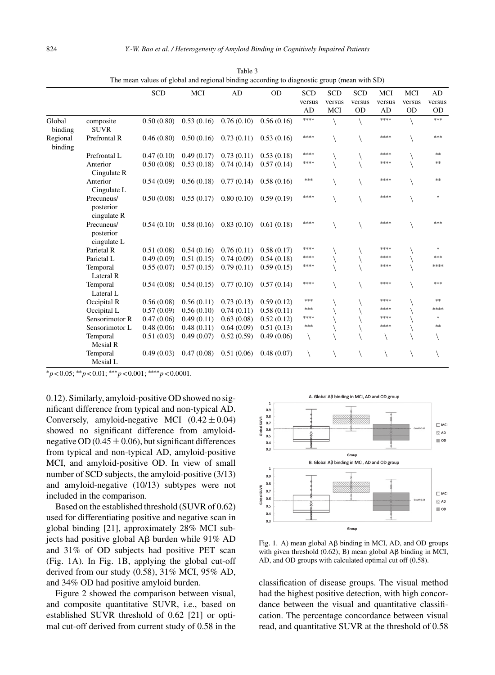|                     |                                        | SCD        | MCI        | AD         | <b>OD</b>  | <b>SCD</b> | <b>SCD</b> | <b>SCD</b> | MCI    | MCI       | AD        |
|---------------------|----------------------------------------|------------|------------|------------|------------|------------|------------|------------|--------|-----------|-----------|
|                     |                                        |            |            |            |            | versus     | versus     | versus     | versus | versus    | versus    |
|                     |                                        |            |            |            |            | AD         | MCI        | <b>OD</b>  | AD     | <b>OD</b> | <b>OD</b> |
| Global<br>binding   | composite<br><b>SUVR</b>               | 0.50(0.80) | 0.53(0.16) | 0.76(0.10) | 0.56(0.16) | ****       |            |            | ****   |           | ***       |
| Regional<br>binding | Prefrontal R                           | 0.46(0.80) | 0.50(0.16) | 0.73(0.11) | 0.53(0.16) | ****       |            |            | ****   |           | ***       |
|                     | Prefrontal L                           | 0.47(0.10) | 0.49(0.17) | 0.73(0.11) | 0.53(0.18) | ****       |            |            | ****   |           | **        |
|                     | Anterior<br>Cingulate R                | 0.50(0.08) | 0.53(0.18) | 0.74(0.14) | 0.57(0.14) | ****       |            |            | ****   |           | **        |
|                     | Anterior<br>Cingulate L                | 0.54(0.09) | 0.56(0.18) | 0.77(0.14) | 0.58(0.16) | $***$      |            |            | ****   |           | $**$      |
|                     | Precuneus/<br>posterior<br>cingulate R | 0.50(0.08) | 0.55(0.17) | 0.80(0.10) | 0.59(0.19) | ****       |            |            | ****   |           | ×.        |
|                     | Precuneus/<br>posterior<br>cingulate L | 0.54(0.10) | 0.58(0.16) | 0.83(0.10) | 0.61(0.18) | ****       |            |            | ****   |           | ***       |
|                     | Parietal R                             | 0.51(0.08) | 0.54(0.16) | 0.76(0.11) | 0.58(0.17) | ****       |            |            | ****   |           | *         |
|                     | Parietal L                             | 0.49(0.09) | 0.51(0.15) | 0.74(0.09) | 0.54(0.18) | ****       |            |            | ****   |           | ***       |
|                     | Temporal<br>Lateral R                  | 0.55(0.07) | 0.57(0.15) | 0.79(0.11) | 0.59(0.15) | ****       |            |            | ****   |           | ****      |
|                     | Temporal<br>Lateral L                  | 0.54(0.08) | 0.54(0.15) | 0.77(0.10) | 0.57(0.14) | ****       |            |            | ****   |           | ***       |
|                     | Occipital R                            | 0.56(0.08) | 0.56(0.11) | 0.73(0.13) | 0.59(0.12) | $***$      |            |            | ****   |           | **        |
|                     | Occipital L                            | 0.57(0.09) | 0.56(0.10) | 0.74(0.11) | 0.58(0.11) | $***$      |            |            | ****   |           | ****      |
|                     | Sensorimotor R                         | 0.47(0.06) | 0.49(0.11) | 0.63(0.08) | 0.52(0.12) | ****       |            |            | ****   |           | *         |
|                     | Sensorimotor L                         | 0.48(0.06) | 0.48(0.11) | 0.64(0.09) | 0.51(0.13) | ***        |            |            | ****   |           | **        |
|                     | Temporal<br>Mesial R                   | 0.51(0.03) | 0.49(0.07) | 0.52(0.59) | 0.49(0.06) |            |            |            |        |           |           |
|                     | Temporal<br>Mesial L                   | 0.49(0.03) | 0.47(0.08) | 0.51(0.06) | 0.48(0.07) |            |            |            |        |           |           |

Table 3 The mean values of global and regional binding according to diagnostic group (mean with SD)

∗*p* < 0.05; ∗∗*p* < 0.01; ∗∗∗*p* < 0.001; ∗∗∗∗*p* < 0.0001.

0.12). Similarly, amyloid-positive OD showed no significant difference from typical and non-typical AD. Conversely, amyloid-negative MCI  $(0.42 \pm 0.04)$ showed no significant difference from amyloidnegative OD (0.45  $\pm$  0.06), but significant differences from typical and non-typical AD, amyloid-positive MCI, and amyloid-positive OD. In view of small number of SCD subjects, the amyloid-positive (3/13) and amyloid-negative (10/13) subtypes were not included in the comparison.

Based on the established threshold (SUVR of 0.62) used for differentiating positive and negative scan in global binding [21], approximately 28% MCI subjects had positive global  $\overrightarrow{AB}$  burden while 91% AD and 31% of OD subjects had positive PET scan (Fig. 1A). In Fig. 1B, applying the global cut-off derived from our study (0.58), 31% MCI, 95% AD, and 34% OD had positive amyloid burden.

Figure 2 showed the comparison between visual, and composite quantitative SUVR, i.e., based on established SUVR threshold of 0.62 [21] or optimal cut-off derived from current study of 0.58 in the



Fig. 1. A) mean global  $\overrightarrow{AB}$  binding in MCI, AD, and OD groups with given threshold  $(0.62)$ ; B) mean global A $\beta$  binding in MCI, AD, and OD groups with calculated optimal cut off (0.58).

classification of disease groups. The visual method had the highest positive detection, with high concordance between the visual and quantitative classification. The percentage concordance between visual read, and quantitative SUVR at the threshold of 0.58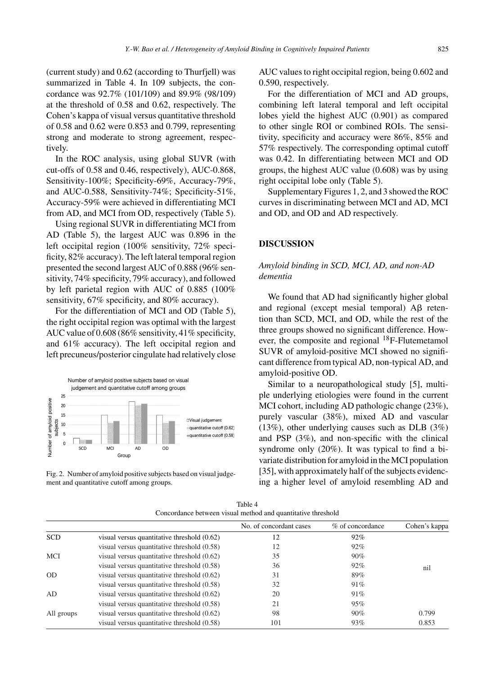(current study) and 0.62 (according to Thurfjell) was summarized in Table 4. In 109 subjects, the concordance was 92.7% (101/109) and 89.9% (98/109) at the threshold of 0.58 and 0.62, respectively. The Cohen's kappa of visual versus quantitative threshold of 0.58 and 0.62 were 0.853 and 0.799, representing strong and moderate to strong agreement, respectively.

In the ROC analysis, using global SUVR (with cut-offs of 0.58 and 0.46, respectively), AUC-0.868, Sensitivity-100%; Specificity-69%, Accuracy-79%, and AUC-0.588, Sensitivity-74%; Specificity-51%, Accuracy-59% were achieved in differentiating MCI from AD, and MCI from OD, respectively (Table 5).

Using regional SUVR in differentiating MCI from AD (Table 5), the largest AUC was 0.896 in the left occipital region (100% sensitivity, 72% specificity, 82% accuracy). The left lateral temporal region presented the second largest AUC of 0.888 (96% sensitivity, 74% specificity, 79% accuracy), and followed by left parietal region with AUC of 0.885 (100% sensitivity, 67% specificity, and 80% accuracy).

For the differentiation of MCI and OD (Table 5), the right occipital region was optimal with the largest AUC value of 0.608 (86% sensitivity, 41% specificity, and 61% accuracy). The left occipital region and left precuneus/posterior cingulate had relatively close



Fig. 2. Number of amyloid positive subjects based on visual judgement and quantitative cutoff among groups.

AUC values to right occipital region, being 0.602 and 0.590, respectively.

For the differentiation of MCI and AD groups, combining left lateral temporal and left occipital lobes yield the highest AUC (0.901) as compared to other single ROI or combined ROIs. The sensitivity, specificity and accuracy were 86%, 85% and 57% respectively. The corresponding optimal cutoff was 0.42. In differentiating between MCI and OD groups, the highest AUC value (0.608) was by using right occipital lobe only (Table 5).

Supplementary Figures 1, 2, and 3 showed the ROC curves in discriminating between MCI and AD, MCI and OD, and OD and AD respectively.

## **DISCUSSION**

## *Amyloid binding in SCD, MCI, AD, and non-AD dementia*

We found that AD had significantly higher global and regional (except mesial temporal)  $\mathsf{A}\mathsf{B}$  retention than SCD, MCI, and OD, while the rest of the three groups showed no significant difference. However, the composite and regional  $^{18}$ F-Flutemetamol SUVR of amyloid-positive MCI showed no significant difference from typical AD, non-typical AD, and amyloid-positive OD.

Similar to a neuropathological study [5], multiple underlying etiologies were found in the current MCI cohort, including AD pathologic change (23%), purely vascular (38%), mixed AD and vascular (13%), other underlying causes such as DLB (3%) and PSP (3%), and non-specific with the clinical syndrome only (20%). It was typical to find a bivariate distribution for amyloid in the MCI population [35], with approximately half of the subjects evidencing a higher level of amyloid resembling AD and

| Table 4                                                      |
|--------------------------------------------------------------|
| Concordance between visual method and quantitative threshold |

|            |                                             | No. of concordant cases | % of concordance | Cohen's kappa |
|------------|---------------------------------------------|-------------------------|------------------|---------------|
| <b>SCD</b> | visual versus quantitative threshold (0.62) | 12                      | 92%              |               |
|            | visual versus quantitative threshold (0.58) | 12                      | 92%              |               |
| <b>MCI</b> | visual versus quantitative threshold (0.62) | 35                      | 90%              |               |
|            | visual versus quantitative threshold (0.58) | 36                      | 92%              | nil           |
| <b>OD</b>  | visual versus quantitative threshold (0.62) | 31                      | 89%              |               |
|            | visual versus quantitative threshold (0.58) | 32                      | 91%              |               |
| AD         | visual versus quantitative threshold (0.62) | 20                      | 91%              |               |
|            | visual versus quantitative threshold (0.58) | 21                      | 95%              |               |
| All groups | visual versus quantitative threshold (0.62) | 98                      | 90%              | 0.799         |
|            | visual versus quantitative threshold (0.58) | 101                     | 93%              | 0.853         |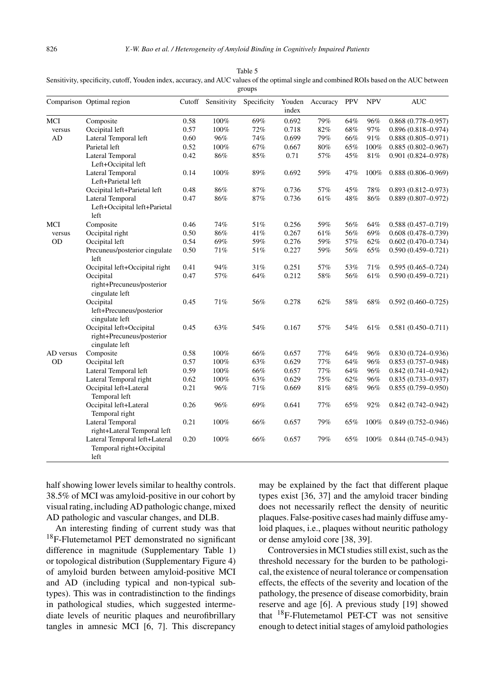|           | Comparison Optimal region                                               | Cutoff | Sensitivity | Specificity | Youden<br>index | Accuracy | <b>PPV</b> | <b>NPV</b> | <b>AUC</b>             |
|-----------|-------------------------------------------------------------------------|--------|-------------|-------------|-----------------|----------|------------|------------|------------------------|
| MCI       | Composite                                                               | 0.58   | 100%        | 69%         | 0.692           | 79%      | 64%        | 96%        | $0.868(0.778 - 0.957)$ |
| versus    | Occipital left                                                          | 0.57   | 100%        | 72%         | 0.718           | 82%      | 68%        | 97%        | $0.896(0.818 - 0.974)$ |
| AD        | Lateral Temporal left                                                   | 0.60   | 96%         | 74%         | 0.699           | 79%      | 66%        | 91%        | $0.888(0.805 - 0.971)$ |
|           | Parietal left                                                           | 0.52   | 100%        | 67%         | 0.667           | 80%      | 65%        | 100%       | $0.885(0.802 - 0.967)$ |
|           | <b>Lateral Temporal</b><br>Left+Occipital left                          | 0.42   | 86%         | 85%         | 0.71            | 57%      | 45%        | 81%        | $0.901(0.824 - 0.978)$ |
|           | Lateral Temporal<br>Left+Parietal left                                  | 0.14   | 100%        | 89%         | 0.692           | 59%      | 47%        | 100%       | $0.888(0.806 - 0.969)$ |
|           | Occipital left+Parietal left                                            | 0.48   | 86%         | 87%         | 0.736           | 57%      | 45%        | 78%        | $0.893(0.812 - 0.973)$ |
|           | Lateral Temporal<br>Left+Occipital left+Parietal<br>left                | 0.47   | 86%         | 87%         | 0.736           | 61%      | 48%        | 86%        | $0.889(0.807 - 0.972)$ |
| MCI       | Composite                                                               | 0.46   | 74%         | 51%         | 0.256           | 59%      | 56%        | 64%        | $0.588(0.457 - 0.719)$ |
| versus    | Occipital right                                                         | 0.50   | 86%         | 41%         | 0.267           | 61%      | 56%        | 69%        | $0.608(0.478 - 0.739)$ |
| <b>OD</b> | Occipital left                                                          | 0.54   | 69%         | 59%         | 0.276           | 59%      | 57%        | 62%        | $0.602(0.470 - 0.734)$ |
|           | Precuneus/posterior cingulate<br>left                                   | 0.50   | 71%         | 51%         | 0.227           | 59%      | 56%        | 65%        | $0.590(0.459 - 0.721)$ |
|           | Occipital left+Occipital right                                          | 0.41   | 94%         | 31%         | 0.251           | 57%      | 53%        | 71%        | $0.595(0.465 - 0.724)$ |
|           | Occipital<br>right+Precuneus/posterior<br>cingulate left                | 0.47   | 57%         | 64%         | 0.212           | 58%      | 56%        | 61%        | $0.590(0.459 - 0.721)$ |
|           | Occipital<br>left+Precuneus/posterior<br>cingulate left                 | 0.45   | 71%         | 56%         | 0.278           | 62%      | 58%        | 68%        | $0.592(0.460 - 0.725)$ |
|           | Occipital left+Occipital<br>right+Precuneus/posterior<br>cingulate left | 0.45   | 63%         | 54%         | 0.167           | 57%      | 54%        | 61%        | $0.581(0.450 - 0.711)$ |
| AD versus | Composite                                                               | 0.58   | 100%        | 66%         | 0.657           | 77%      | 64%        | 96%        | $0.830(0.724 - 0.936)$ |
| <b>OD</b> | Occipital left                                                          | 0.57   | 100%        | 63%         | 0.629           | 77%      | 64%        | 96%        | $0.853(0.757 - 0.948)$ |
|           | Lateral Temporal left                                                   | 0.59   | 100%        | 66%         | 0.657           | 77%      | 64%        | 96%        | $0.842(0.741 - 0.942)$ |
|           | Lateral Temporal right                                                  | 0.62   | 100%        | 63%         | 0.629           | 75%      | 62%        | 96%        | $0.835(0.733 - 0.937)$ |
|           | Occipital left+Lateral<br>Temporal left                                 | 0.21   | 96%         | 71%         | 0.669           | $81\%$   | 68%        | 96%        | $0.855(0.759 - 0.950)$ |
|           | Occipital left+Lateral<br>Temporal right                                | 0.26   | 96%         | 69%         | 0.641           | 77%      | 65%        | 92%        | $0.842(0.742 - 0.942)$ |
|           | Lateral Temporal<br>right+Lateral Temporal left                         | 0.21   | 100%        | 66%         | 0.657           | 79%      | 65%        | 100%       | $0.849(0.752 - 0.946)$ |
|           | Lateral Temporal left+Lateral<br>Temporal right+Occipital<br>left       | 0.20   | 100%        | 66%         | 0.657           | 79%      | 65%        | 100%       | $0.844(0.745 - 0.943)$ |

Table 5 Sensitivity, specificity, cutoff, Youden index, accuracy, and AUC values of the optimal single and combined ROIs based on the AUC between groups

half showing lower levels similar to healthy controls. 38.5% of MCI was amyloid-positive in our cohort by visual rating, including AD pathologic change, mixed AD pathologic and vascular changes, and DLB.

An interesting finding of current study was that 18F-Flutemetamol PET demonstrated no significant difference in magnitude (Supplementary Table 1) or topological distribution (Supplementary Figure 4) of amyloid burden between amyloid-positive MCI and AD (including typical and non-typical subtypes). This was in contradistinction to the findings in pathological studies, which suggested intermediate levels of neuritic plaques and neurofibrillary tangles in amnesic MCI [6, 7]. This discrepancy

may be explained by the fact that different plaque types exist [36, 37] and the amyloid tracer binding does not necessarily reflect the density of neuritic plaques. False-positive cases had mainly diffuse amyloid plaques, i.e., plaques without neuritic pathology or dense amyloid core [38, 39].

Controversies in MCI studies still exist, such as the threshold necessary for the burden to be pathological, the existence of neural tolerance or compensation effects, the effects of the severity and location of the pathology, the presence of disease comorbidity, brain reserve and age [6]. A previous study [19] showed that 18F-Flutemetamol PET-CT was not sensitive enough to detect initial stages of amyloid pathologies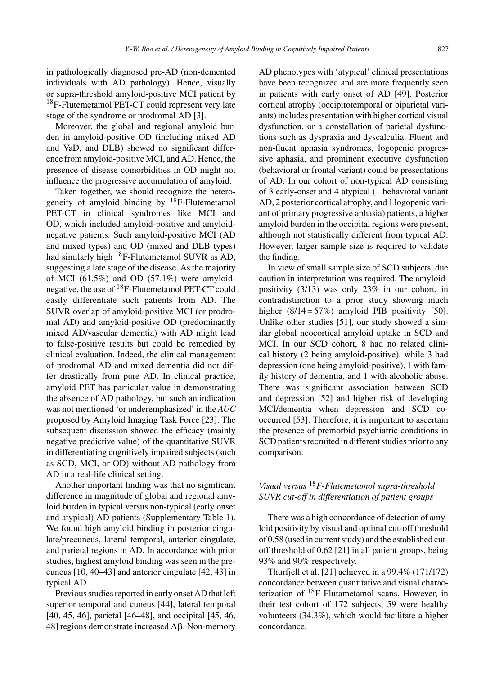in pathologically diagnosed pre-AD (non-demented individuals with AD pathology). Hence, visually or supra-threshold amyloid-positive MCI patient by <sup>18</sup>F-Flutemetamol PET-CT could represent very late stage of the syndrome or prodromal AD [3].

Moreover, the global and regional amyloid burden in amyloid-positive OD (including mixed AD and VaD, and DLB) showed no significant difference from amyloid-positive MCI, and AD. Hence, the presence of disease comorbidities in OD might not influence the progressive accumulation of amyloid.

Taken together, we should recognize the heterogeneity of amyloid binding by  $^{18}$ F-Flutemetamol PET-CT in clinical syndromes like MCI and OD, which included amyloid-positive and amyloidnegative patients. Such amyloid-positive MCI (AD and mixed types) and OD (mixed and DLB types) had similarly high <sup>18</sup>F-Flutemetamol SUVR as AD, suggesting a late stage of the disease. As the majority of MCI  $(61.5\%)$  and OD  $(57.1\%)$  were amyloidnegative, the use of 18F-Flutemetamol PET-CT could easily differentiate such patients from AD. The SUVR overlap of amyloid-positive MCI (or prodromal AD) and amyloid-positive OD (predominantly mixed AD/vascular dementia) with AD might lead to false-positive results but could be remedied by clinical evaluation. Indeed, the clinical management of prodromal AD and mixed dementia did not differ drastically from pure AD. In clinical practice, amyloid PET has particular value in demonstrating the absence of AD pathology, but such an indication was not mentioned 'or underemphasized' in the *AUC* proposed by Amyloid Imaging Task Force [23]. The subsequent discussion showed the efficacy (mainly negative predictive value) of the quantitative SUVR in differentiating cognitively impaired subjects (such as SCD, MCI, or OD) without AD pathology from AD in a real-life clinical setting.

Another important finding was that no significant difference in magnitude of global and regional amyloid burden in typical versus non-typical (early onset and atypical) AD patients (Supplementary Table 1). We found high amyloid binding in posterior cingulate/precuneus, lateral temporal, anterior cingulate, and parietal regions in AD. In accordance with prior studies, highest amyloid binding was seen in the precuneus [10, 40–43] and anterior cingulate [42, 43] in typical AD.

Previous studies reported in early onset AD that left superior temporal and cuneus [44], lateral temporal [40, 45, 46], parietal [46–48], and occipital [45, 46, 48] regions demonstrate increased Aβ. Non-memory

AD phenotypes with 'atypical' clinical presentations have been recognized and are more frequently seen in patients with early onset of AD [49]. Posterior cortical atrophy (occipitotemporal or biparietal variants) includes presentation with higher cortical visual dysfunction, or a constellation of parietal dysfunctions such as dyspraxia and dyscalculia. Fluent and non-fluent aphasia syndromes, logopenic progressive aphasia, and prominent executive dysfunction (behavioral or frontal variant) could be presentations of AD. In our cohort of non-typical AD consisting of 3 early-onset and 4 atypical (1 behavioral variant AD, 2 posterior cortical atrophy, and 1 logopenic variant of primary progressive aphasia) patients, a higher amyloid burden in the occipital regions were present, although not statistically different from typical AD. However, larger sample size is required to validate the finding.

In view of small sample size of SCD subjects, due caution in interpretation was required. The amyloidpositivity (3/13) was only 23% in our cohort, in contradistinction to a prior study showing much higher  $(8/14 = 57\%)$  amyloid PIB positivity [50]. Unlike other studies [51], our study showed a similar global neocortical amyloid uptake in SCD and MCI. In our SCD cohort, 8 had no related clinical history (2 being amyloid-positive), while 3 had depression (one being amyloid-positive), 1 with family history of dementia, and 1 with alcoholic abuse. There was significant association between SCD and depression [52] and higher risk of developing MCI/dementia when depression and SCD cooccurred [53]. Therefore, it is important to ascertain the presence of premorbid psychiatric conditions in SCD patients recruited in different studies prior to any comparison.

# *Visual versus* <sup>18</sup>*F-Flutemetamol supra-threshold SUVR cut-off in differentiation of patient groups*

There was a high concordance of detection of amyloid positivity by visual and optimal cut-off threshold of 0.58 (used in current study) and the established cutoff threshold of 0.62 [21] in all patient groups, being 93% and 90% respectively.

Thurfjell et al. [21] achieved in a 99.4% (171/172) concordance between quantitative and visual characterization of  $^{18}$ F Flutametamol scans. However, in their test cohort of 172 subjects, 59 were healthy volunteers (34.3%), which would facilitate a higher concordance.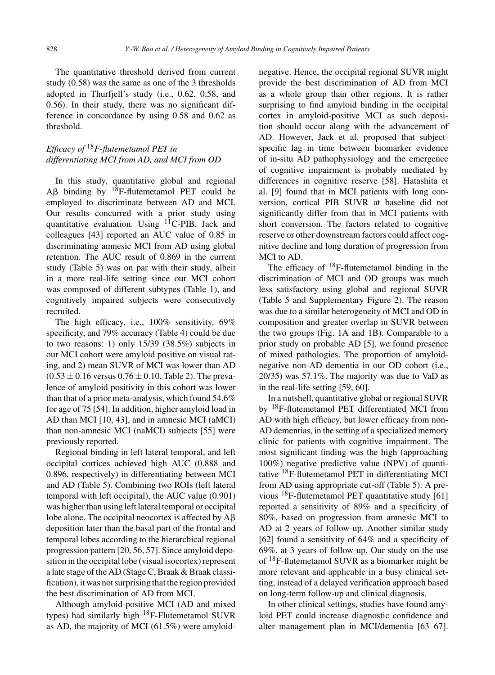The quantitative threshold derived from current study (0.58) was the same as one of the 3 thresholds adopted in Thurfjell's study (i.e., 0.62, 0.58, and 0.56). In their study, there was no significant difference in concordance by using 0.58 and 0.62 as threshold.

# *Efficacy of* <sup>18</sup>*F-flutemetamol PET in differentiating MCI from AD, and MCI from OD*

In this study, quantitative global and regional  $\mathsf{A}\mathsf{B}$  binding by <sup>18</sup>F-flutemetamol PET could be employed to discriminate between AD and MCI. Our results concurred with a prior study using quantitative evaluation. Using  $^{11}$ C-PIB, Jack and colleagues [43] reported an AUC value of 0.85 in discriminating amnesic MCI from AD using global retention. The AUC result of 0.869 in the current study (Table 5) was on par with their study, albeit in a more real-life setting since our MCI cohort was composed of different subtypes (Table 1), and cognitively impaired subjects were consecutively recruited.

The high efficacy, i.e., 100% sensitivity, 69% specificity, and 79% accuracy (Table 4) could be due to two reasons: 1) only 15/39 (38.5%) subjects in our MCI cohort were amyloid positive on visual rating, and 2) mean SUVR of MCI was lower than AD  $(0.53 \pm 0.16 \text{ versus } 0.76 \pm 0.10, \text{ Table 2}).$  The prevalence of amyloid positivity in this cohort was lower than that of a prior meta-analysis, which found 54.6% for age of 75 [54]. In addition, higher amyloid load in AD than MCI [10, 43], and in amnesic MCI (aMCI) than non-amnesic MCI (naMCI) subjects [55] were previously reported.

Regional binding in left lateral temporal, and left occipital cortices achieved high AUC (0.888 and 0.896, respectively) in differentiating between MCI and AD (Table 5). Combining two ROIs (left lateral temporal with left occipital), the AUC value (0.901) was higher than using left lateral temporal or occipital lobe alone. The occipital neocortex is affected by  $A\beta$ deposition later than the basal part of the frontal and temporal lobes according to the hierarchical regional progression pattern [20, 56, 57]. Since amyloid deposition in the occipital lobe (visual isocortex) represent a late stage of the AD (Stage C, Braak & Braak classification), it was not surprising that the region provided the best discrimination of AD from MCI.

Although amyloid-positive MCI (AD and mixed types) had similarly high  $^{18}$ F-Flutemetamol SUVR as AD, the majority of MCI (61.5%) were amyloidnegative. Hence, the occipital regional SUVR might provide the best discrimination of AD from MCI as a whole group than other regions. It is rather surprising to find amyloid binding in the occipital cortex in amyloid-positive MCI as such deposition should occur along with the advancement of AD. However, Jack et al. proposed that subjectspecific lag in time between biomarker evidence of in-situ AD pathophysiology and the emergence of cognitive impairment is probably mediated by differences in cognitive reserve [58]. Hatashita et al. [9] found that in MCI patients with long conversion, cortical PIB SUVR at baseline did not significantly differ from that in MCI patients with short conversion. The factors related to cognitive reserve or other downstream factors could affect cognitive decline and long duration of progression from MCI to AD.

The efficacy of  $^{18}F$ -flutemetamol binding in the discrimination of MCI and OD groups was much less satisfactory using global and regional SUVR (Table 5 and Supplementary Figure 2). The reason was due to a similar heterogeneity of MCI and OD in composition and greater overlap in SUVR between the two groups (Fig. 1A and 1B). Comparable to a prior study on probable AD [5], we found presence of mixed pathologies. The proportion of amyloidnegative non-AD dementia in our OD cohort (i.e., 20/35) was 57.1%. The majority was due to VaD as in the real-life setting [59, 60].

In a nutshell, quantitative global or regional SUVR by <sup>18</sup>F-flutemetamol PET differentiated MCI from AD with high efficacy, but lower efficacy from non-AD dementias, in the setting of a specialized memory clinic for patients with cognitive impairment. The most significant finding was the high (approaching 100%) negative predictive value (NPV) of quantitative 18F-flutemetamol PET in differentiating MCI from AD using appropriate cut-off (Table 5). A previous  $^{18}$ F-flutemetamol PET quantitative study [61] reported a sensitivity of 89% and a specificity of 80%, based on progression from amnesic MCI to AD at 2 years of follow-up. Another similar study [62] found a sensitivity of 64% and a specificity of 69%, at 3 years of follow-up. Our study on the use of 18F-flutemetamol SUVR as a biomarker might be more relevant and applicable in a busy clinical setting, instead of a delayed verification approach based on long-term follow-up and clinical diagnosis.

In other clinical settings, studies have found amyloid PET could increase diagnostic confidence and alter management plan in MCI/dementia [63–67].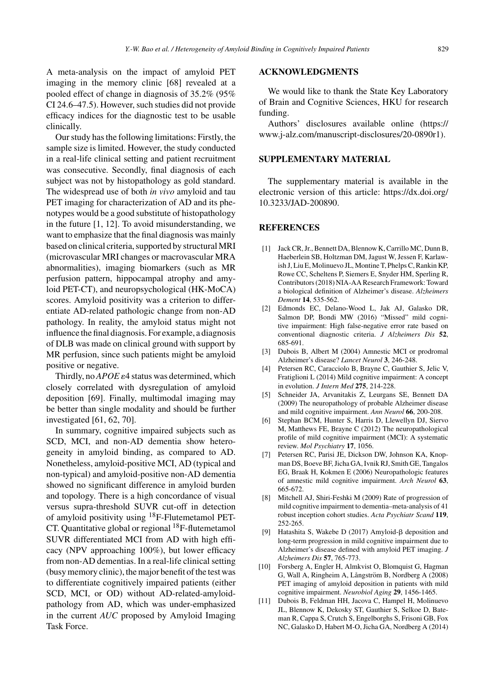A meta-analysis on the impact of amyloid PET imaging in the memory clinic [68] revealed at a pooled effect of change in diagnosis of 35.2% (95% CI 24.6–47.5). However, such studies did not provide efficacy indices for the diagnostic test to be usable clinically.

Our study has the following limitations: Firstly, the sample size is limited. However, the study conducted in a real-life clinical setting and patient recruitment was consecutive. Secondly, final diagnosis of each subject was not by histopathology as gold standard. The widespread use of both *in vivo* amyloid and tau PET imaging for characterization of AD and its phenotypes would be a good substitute of histopathology in the future [1, 12]. To avoid misunderstanding, we want to emphasize that the final diagnosis was mainly based on clinical criteria, supported by structural MRI (microvascular MRI changes or macrovascular MRA abnormalities), imaging biomarkers (such as MR perfusion pattern, hippocampal atrophy and amyloid PET-CT), and neuropsychological (HK-MoCA) scores. Amyloid positivity was a criterion to differentiate AD-related pathologic change from non-AD pathology. In reality, the amyloid status might not influence the final diagnosis. For example, a diagnosis of DLB was made on clinical ground with support by MR perfusion, since such patients might be amyloid positive or negative.

Thirdly, no  $APOE \varepsilon$ 4 status was determined, which closely correlated with dysregulation of amyloid deposition [69]. Finally, multimodal imaging may be better than single modality and should be further investigated [61, 62, 70].

In summary, cognitive impaired subjects such as SCD, MCI, and non-AD dementia show heterogeneity in amyloid binding, as compared to AD. Nonetheless, amyloid-positive MCI, AD (typical and non-typical) and amyloid-positive non-AD dementia showed no significant difference in amyloid burden and topology. There is a high concordance of visual versus supra-threshold SUVR cut-off in detection of amyloid positivity using 18F-Flutemetamol PET-CT. Quantitative global or regional  $^{18}$ F-flutemetamol SUVR differentiated MCI from AD with high efficacy (NPV approaching 100%), but lower efficacy from non-AD dementias. In a real-life clinical setting (busy memory clinic), the major benefit of the test was to differentiate cognitively impaired patients (either SCD, MCI, or OD) without AD-related-amyloidpathology from AD, which was under-emphasized in the current *AUC* proposed by Amyloid Imaging Task Force.

### **ACKNOWLEDGMENTS**

We would like to thank the State Key Laboratory of Brain and Cognitive Sciences, HKU for research funding.

Authors' disclosures available online [\(https://](https://www.j-alz.com/manuscript-disclosures/20-0890r1) www.j-alz.com/manuscript-disclosures/20-0890r1).

### **SUPPLEMENTARY MATERIAL**

The supplementary material is available in the electronic version of this article: [https://dx.doi.org/](https://dx.doi.org/10.3233/JAD-200890) 10.3233/JAD-200890.

#### **REFERENCES**

- [1] Jack CR, Jr., Bennett DA, Blennow K, Carrillo MC, Dunn B, Haeberlein SB, Holtzman DM, Jagust W, Jessen F, Karlawish J, Liu E, Molinuevo JL, Montine T, Phelps C, Rankin KP, Rowe CC, Scheltens P, Siemers E, Snyder HM, Sperling R, Contributors (2018) NIA-AA Research Framework: Toward a biological definition of Alzheimer's disease. *Alzheimers Dement* **14**, 535-562.
- [2] Edmonds EC, Delano-Wood L, Jak AJ, Galasko DR, Salmon DP, Bondi MW (2016) "Missed" mild cognitive impairment: High false-negative error rate based on conventional diagnostic criteria. *J Alzheimers Dis* **52**, 685-691.
- [3] Dubois B, Albert M (2004) Amnestic MCI or prodromal Alzheimer's disease? *Lancet Neurol* **3**, 246-248.
- [4] Petersen RC, Caracciolo B, Brayne C, Gauthier S, Jelic V, Fratiglioni L (2014) Mild cognitive impairment: A concept in evolution. *J Intern Med* **275**, 214-228.
- [5] Schneider JA, Arvanitakis Z, Leurgans SE, Bennett DA (2009) The neuropathology of probable Alzheimer disease and mild cognitive impairment. *Ann Neurol* **66**, 200-208.
- [6] Stephan BCM, Hunter S, Harris D, Llewellyn DJ, Siervo M, Matthews FE, Brayne C (2012) The neuropathological profile of mild cognitive impairment (MCI): A systematic review. *Mol Psychiatry* **17**, 1056.
- [7] Petersen RC, Parisi JE, Dickson DW, Johnson KA, Knopman DS, Boeve BF, Jicha GA, Ivnik RJ, Smith GE, Tangalos EG, Braak H, Kokmen E (2006) Neuropathologic features of amnestic mild cognitive impairment. *Arch Neurol* **63**, 665-672.
- [8] Mitchell AJ, Shiri-Feshki M (2009) Rate of progression of mild cognitive impairment to dementia–meta-analysis of 41 robust inception cohort studies. *Acta Psychiatr Scand* **119**, 252-265.
- [9] Hatashita S, Wakebe D (2017) Amyloid- $\beta$  deposition and long-term progression in mild cognitive impairment due to Alzheimer's disease defined with amyloid PET imaging. *J Alzheimers Dis* **57**, 765-773.
- [10] Forsberg A, Engler H, Almkvist O, Blomquist G, Hagman G, Wall A, Ringheim A, Långström B, Nordberg A (2008) PET imaging of amyloid deposition in patients with mild cognitive impairment. *Neurobiol Aging* **29**, 1456-1465.
- [11] Dubois B, Feldman HH, Jacova C, Hampel H, Molinuevo JL, Blennow K, Dekosky ST, Gauthier S, Selkoe D, Bateman R, Cappa S, Crutch S, Engelborghs S, Frisoni GB, Fox NC, Galasko D, Habert M-O, Jicha GA, Nordberg A (2014)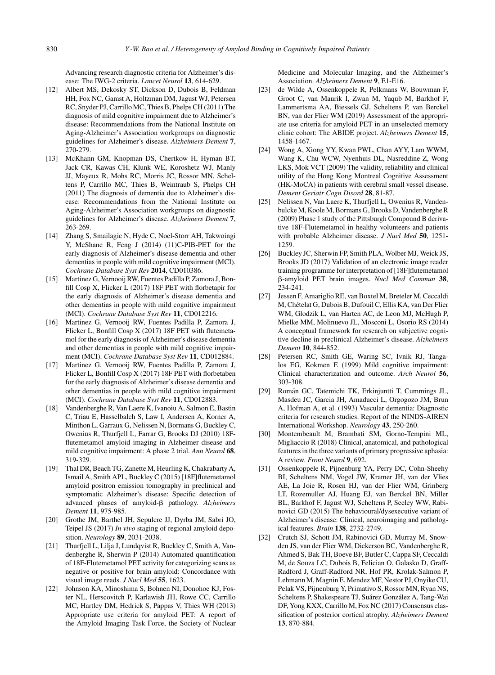Advancing research diagnostic criteria for Alzheimer's disease: The IWG-2 criteria. *Lancet Neurol* **13**, 614-629.

- [12] Albert MS, Dekosky ST, Dickson D, Dubois B, Feldman HH, Fox NC, Gamst A, Holtzman DM, Jagust WJ, Petersen RC, Snyder PJ, Carrillo MC, Thies B, Phelps CH (2011) The diagnosis of mild cognitive impairment due to Alzheimer's disease: Recommendations from the National Institute on Aging-Alzheimer's Association workgroups on diagnostic guidelines for Alzheimer's disease. *Alzheimers Dement* **7**, 270-279.
- [13] McKhann GM, Knopman DS, Chertkow H, Hyman BT, Jack CR, Kawas CH, Klunk WE, Koroshetz WJ, Manly JJ, Mayeux R, Mohs RC, Morris JC, Rossor MN, Scheltens P, Carrillo MC, Thies B, Weintraub S, Phelps CH (2011) The diagnosis of dementia due to Alzheimer's disease: Recommendations from the National Institute on Aging-Alzheimer's Association workgroups on diagnostic guidelines for Alzheimer's disease. *Alzheimers Dement* **7**, 263-269.
- [14] Zhang S, Smailagic N, Hyde C, Noel-Storr AH, Takwoingi Y, McShane R, Feng J (2014) (11)C-PIB-PET for the early diagnosis of Alzheimer's disease dementia and other dementias in people with mild cognitive impairment (MCI). *Cochrane Database Syst Rev* **2014**, CD010386.
- [15] Martinez G, Vernooij RW, Fuentes Padilla P, Zamora J, Bonfill Cosp X, Flicker L (2017) 18F PET with florbetapir for the early diagnosis of Alzheimer's disease dementia and other dementias in people with mild cognitive impairment (MCI). *Cochrane Database Syst Rev* **11**, CD012216.
- [16] Martinez G, Vernooij RW, Fuentes Padilla P, Zamora J, Flicker L, Bonfill Cosp X (2017) 18F PET with flutemetamol for the early diagnosis of Alzheimer's disease dementia and other dementias in people with mild cognitive impairment (MCI). *Cochrane Database Syst Rev* **11**, CD012884.
- [17] Martinez G, Vernooij RW, Fuentes Padilla P, Zamora J, Flicker L, Bonfill Cosp X (2017) 18F PET with florbetaben for the early diagnosis of Alzheimer's disease dementia and other dementias in people with mild cognitive impairment (MCI). *Cochrane Database Syst Rev* **11**, CD012883.
- [18] Vandenberghe R, Van Laere K, Ivanoiu A, Salmon E, Bastin C, Triau E, Hasselbalch S, Law I, Andersen A, Korner A, Minthon L, Garraux G, Nelissen N, Bormans G, Buckley C, Owenius R, Thurfjell L, Farrar G, Brooks DJ (2010) 18Fflutemetamol amyloid imaging in Alzheimer disease and mild cognitive impairment: A phase 2 trial. *Ann Neurol* **68**, 319-329.
- [19] Thal DR, Beach TG, Zanette M, Heurling K, Chakrabarty A, Ismail A, Smith APL, Buckley C (2015) [18F]flutemetamol amyloid positron emission tomography in preclinical and symptomatic Alzheimer's disease: Specific detection of advanced phases of amyloid- $\beta$  pathology. Alzheimers *Dement* **11**, 975-985.
- [20] Grothe JM, Barthel JH, Sepulcre JJ, Dyrba JM, Sabri JO, Teipel JS (2017) *In vivo* staging of regional amyloid deposition. *Neurology* **89**, 2031-2038.
- [21] Thurfjell L, Lilja J, Lundqvist R, Buckley C, Smith A, Vandenberghe R, Sherwin P (2014) Automated quantification of 18F-Flutemetamol PET activity for categorizing scans as negative or positive for brain amyloid: Concordance with visual image reads. *J Nucl Med* **55**, 1623.
- [22] Johnson KA, Minoshima S, Bohnen NI, Donohoe KJ, Foster NL, Herscovitch P, Karlawish JH, Rowe CC, Carrillo MC, Hartley DM, Hedrick S, Pappas V, Thies WH (2013) Appropriate use criteria for amyloid PET: A report of the Amyloid Imaging Task Force, the Society of Nuclear

Medicine and Molecular Imaging, and the Alzheimer's Association. *Alzheimers Dement* **9**, E1-E16.

- [23] de Wilde A, Ossenkoppele R, Pelkmans W, Bouwman F, Groot C, van Maurik I, Zwan M, Yaqub M, Barkhof F, Lammertsma AA, Biessels GJ, Scheltens P, van Berckel BN, van der Flier WM (2019) Assessment of the appropriate use criteria for amyloid PET in an unselected memory clinic cohort: The ABIDE project. *Alzheimers Dement* **15**, 1458-1467.
- [24] Wong A, Xiong YY, Kwan PWL, Chan AYY, Lam WWM, Wang K, Chu WCW, Nyenhuis DL, Nasreddine Z, Wong LKS, Mok VCT (2009) The validity, reliability and clinical utility of the Hong Kong Montreal Cognitive Assessment (HK-MoCA) in patients with cerebral small vessel disease. *Dement Geriatr Cogn Disord* **28**, 81-87.
- [25] Nelissen N, Van Laere K, Thurfjell L, Owenius R, Vandenbulcke M, Koole M, Bormans G, Brooks D, Vandenberghe R (2009) Phase 1 study of the Pittsburgh Compound B derivative 18F-Flutemetamol in healthy volunteers and patients with probable Alzheimer disease. *J Nucl Med* **50**, 1251- 1259.
- [26] Buckley JC, Sherwin FP, Smith PLA, Wolber MJ, Weick JS, Brooks JD (2017) Validation of an electronic image reader training programme for interpretation of [18F]flutemetamol --amyloid PET brain images. *Nucl Med Commun* **38**, 234-241.
- [27] Jessen F, Amariglio RE, van Boxtel M, Breteler M, Ceccaldi M, Chetelat G, Dubois B, Dufouil C, Ellis KA, van Der Flier ´ WM, Glodzik L, van Harten AC, de Leon MJ, McHugh P, Mielke MM, Molinuevo JL, Mosconi L, Osorio RS (2014) A conceptual framework for research on subjective cognitive decline in preclinical Alzheimer's disease. *Alzheimers Dement* **10**, 844-852.
- [28] Petersen RC, Smith GE, Waring SC, Ivnik RJ, Tangalos EG, Kokmen E (1999) Mild cognitive impairment: Clinical characterization and outcome. *Arch Neurol* **56**, 303-308.
- [29] Román GC, Tatemichi TK, Erkinjuntti T, Cummings JL, Masdeu JC, Garcia JH, Amaducci L, Orgogozo JM, Brun A, Hofman A, et al. (1993) Vascular dementia: Diagnostic criteria for research studies. Report of the NINDS-AIREN International Workshop. *Neurology* **43**, 250-260.
- [30] Montembeault M, Brambati SM, Gorno-Tempini ML, Migliaccio R (2018) Clinical, anatomical, and pathological features in the three variants of primary progressive aphasia: A review. *Front Neurol* **9**, 692.
- [31] Ossenkoppele R, Pijnenburg YA, Perry DC, Cohn-Sheehy BI, Scheltens NM, Vogel JW, Kramer JH, van der Vlies AE, La Joie R, Rosen HJ, van der Flier WM, Grinberg LT, Rozemuller AJ, Huang EJ, van Berckel BN, Miller BL, Barkhof F, Jagust WJ, Scheltens P, Seeley WW, Rabinovici GD (2015) The behavioural/dysexecutive variant of Alzheimer's disease: Clinical, neuroimaging and pathological features. *Brain* **138**, 2732-2749.
- [32] Crutch SJ, Schott JM, Rabinovici GD, Murray M, Snowden JS, van der Flier WM, Dickerson BC, Vandenberghe R, Ahmed S, Bak TH, Boeve BF, Butler C, Cappa SF, Ceccaldi M, de Souza LC, Dubois B, Felician O, Galasko D, Graff-Radford J, Graff-Radford NR, Hof PR, Krolak-Salmon P, Lehmann M, Magnin E, Mendez MF, Nestor PJ, Onyike CU, Pelak VS, Pijnenburg Y, Primativo S, Rossor MN, Ryan NS, Scheltens P, Shakespeare TJ, Suárez González A, Tang-Wai DF, Yong KXX, Carrillo M, Fox NC (2017) Consensus classification of posterior cortical atrophy. *Alzheimers Dement* **13**, 870-884.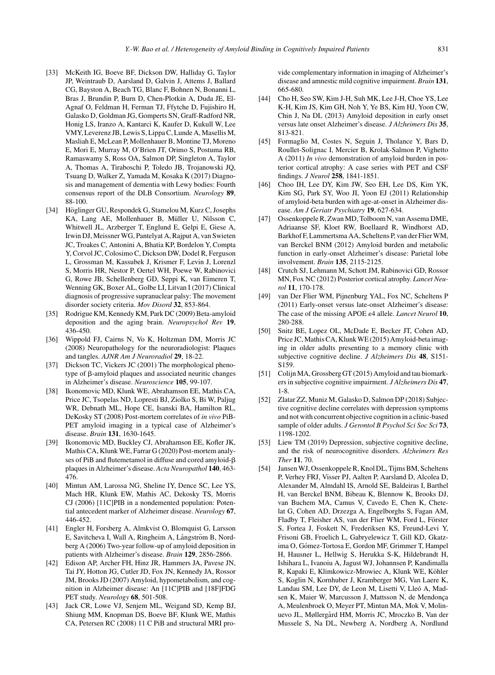- [33] McKeith IG, Boeve BF, Dickson DW, Halliday G, Taylor JP, Weintraub D, Aarsland D, Galvin J, Attems J, Ballard CG, Bayston A, Beach TG, Blanc F, Bohnen N, Bonanni L, Bras J, Brundin P, Burn D, Chen-Plotkin A, Duda JE, El-Agnaf O, Feldman H, Ferman TJ, Ffytche D, Fujishiro H, Galasko D, Goldman JG, Gomperts SN, Graff-Radford NR, Honig LS, Iranzo A, Kantarci K, Kaufer D, Kukull W, Lee VMY, Leverenz JB, Lewis S, Lippa C, Lunde A, Masellis M, Masliah E, McLean P, Mollenhauer B, Montine TJ, Moreno E, Mori E, Murray M, O'Brien JT, Orimo S, Postuma RB, Ramaswamy S, Ross OA, Salmon DP, Singleton A, Taylor A, Thomas A, Tiraboschi P, Toledo JB, Trojanowski JQ, Tsuang D, Walker Z, Yamada M, Kosaka K (2017) Diagnosis and management of dementia with Lewy bodies: Fourth consensus report of the DLB Consortium. *Neurology* **89**, 88-100.
- [34] Höglinger GU, Respondek G, Stamelou M, Kurz C, Josephs KA, Lang AE, Mollenhauer B, Müller U, Nilsson C, Whitwell JL, Arzberger T, Englund E, Gelpi E, Giese A, Irwin DJ, Meissner WG, Pantelyat A, Rajput A, van Swieten JC, Troakes C, Antonini A, Bhatia KP, Bordelon Y, Compta Y, Corvol JC, Colosimo C, Dickson DW, Dodel R, Ferguson L, Grossman M, Kassubek J, Krismer F, Levin J, Lorenzl S, Morris HR, Nestor P, Oertel WH, Poewe W, Rabinovici G, Rowe JB, Schellenberg GD, Seppi K, van Eimeren T, Wenning GK, Boxer AL, Golbe LI, Litvan I (2017) Clinical diagnosis of progressive supranuclear palsy: The movement disorder society criteria. *Mov Disord* **32**, 853-864.
- [35] Rodrigue KM, Kennedy KM, Park DC (2009) Beta-amyloid deposition and the aging brain. *Neuropsychol Rev* **19**, 436-450.
- [36] Wippold FJ, Cairns N, Vo K, Holtzman DM, Morris JC (2008) Neuropathology for the neuroradiologist: Plaques and tangles. *AJNR Am J Neuroradiol* **29**, 18-22.
- [37] Dickson TC, Vickers JC (2001) The morphological phenotype of  $\beta$ -amyloid plaques and associated neuritic changes in Alzheimer's disease. *Neuroscience* **105**, 99-107.
- [38] Ikonomovic MD, Klunk WE, Abrahamson EE, Mathis CA, Price JC, Tsopelas ND, Lopresti BJ, Ziolko S, Bi W, Paljug WR, Debnath ML, Hope CE, Isanski BA, Hamilton RL, DeKosky ST (2008) Post-mortem correlates of *in vivo* PiB-PET amyloid imaging in a typical case of Alzheimer's disease. *Brain* **131**, 1630-1645.
- [39] Ikonomovic MD, Buckley CJ, Abrahamson EE, Kofler JK, Mathis CA, Klunk WE, Farrar G (2020) Post-mortem analyses of PiB and flutemetamol in diffuse and cored amyloid- $\beta$ plaques in Alzheimer's disease. *Acta Neuropathol* **140**, 463- 476.
- [40] Mintun AM, Larossa NG, Sheline IY, Dence SC, Lee YS, Mach HR, Klunk EW, Mathis AC, Dekosky TS, Morris CJ (2006) [11C]PIB in a nondemented population: Potential antecedent marker of Alzheimer disease. *Neurology* **67**, 446-452.
- [41] Engler H, Forsberg A, Almkvist O, Blomquist G, Larsson E, Savitcheva I, Wall A, Ringheim A, Långström B, Nordberg A (2006) Two-year follow-up of amyloid deposition in patients with Alzheimer's disease. *Brain* **129**, 2856-2866.
- [42] Edison AP, Archer FH, Hinz JR, Hammers JA, Pavese JN, Tai JY, Hotton JG, Cutler JD, Fox JN, Kennedy JA, Rossor JM, Brooks JD (2007) Amyloid, hypometabolism, and cognition in Alzheimer disease: An [11C]PIB and [18F]FDG PET study. *Neurology* **68**, 501-508.
- [43] Jack CR, Lowe VJ, Senjem ML, Weigand SD, Kemp BJ, Shiung MM, Knopman DS, Boeve BF, Klunk WE, Mathis CA, Petersen RC (2008) 11 C PiB and structural MRI pro-

vide complementary information in imaging of Alzheimer's disease and amnestic mild cognitive impairment. *Brain* **131**, 665-680.

- [44] Cho H, Seo SW, Kim J-H, Suh MK, Lee J-H, Choe YS, Lee K-H, Kim JS, Kim GH, Noh Y, Ye BS, Kim HJ, Yoon CW, Chin J, Na DL (2013) Amyloid deposition in early onset versus late onset Alzheimer's disease. *J Alzheimers Dis* **35**, 813-821.
- [45] Formaglio M, Costes N, Seguin J, Tholance Y, Bars D, Roullet-Solignac I, Mercier B, Krolak-Salmon P, Vighetto A (2011) *In vivo* demonstration of amyloid burden in posterior cortical atrophy: A case series with PET and CSF findings. *J Neurol* **258**, 1841-1851.
- [46] Choo IH, Lee DY, Kim JW, Seo EH, Lee DS, Kim YK, Kim SG, Park SY, Woo JI, Yoon EJ (2011) Relationship of amyloid-beta burden with age-at-onset in Alzheimer disease. *Am J Geriatr Psychiatry* **19**, 627-634.
- [47] Ossenkoppele R, Zwan MD, Tolboom N, van Assema DME, Adriaanse SF, Kloet RW, Boellaard R, Windhorst AD, Barkhof F, Lammertsma AA, Scheltens P, van der Flier WM, van Berckel BNM (2012) Amyloid burden and metabolic function in early-onset Alzheimer's disease: Parietal lobe involvement. *Brain* **135**, 2115-2125.
- [48] Crutch SJ, Lehmann M, Schott JM, Rabinovici GD, Rossor MN, Fox NC (2012) Posterior cortical atrophy. *Lancet Neurol* **11**, 170-178.
- [49] van Der Flier WM, Pijnenburg YAL, Fox NC, Scheltens P (2011) Early-onset versus late-onset Alzheimer's disease: The case of the missing APOE  $\varepsilon$ 4 allele. *Lancet Neurol* 10, 280-288.
- [50] Snitz BE, Lopez OL, McDade E, Becker JT, Cohen AD, Price JC, Mathis CA, Klunk WE (2015) Amyloid-beta imaging in older adults presenting to a memory clinic with subjective cognitive decline. *J Alzheimers Dis* **48**, S151- S159.
- [51] Colijn MA, Grossberg GT (2015) Amyloid and tau biomarkers in subjective cognitive impairment. *J Alzheimers Dis* **47**, 1-8.
- [52] Zlatar ZZ, Muniz M, Galasko D, Salmon DP (2018) Subjective cognitive decline correlates with depression symptoms and not with concurrent objective cognition in a clinic-based sample of older adults. *J Gerontol B Psychol Sci Soc Sci* **73**, 1198-1202.
- [53] Liew TM (2019) Depression, subjective cognitive decline, and the risk of neurocognitive disorders. *Alzheimers Res Ther* **11**, 70.
- [54] Jansen WJ, Ossenkoppele R, Knol DL, Tijms BM, Scheltens P, Verhey FRJ, Visser PJ, Aalten P, Aarsland D, Alcolea D, Alexander M, Almdahl IS, Arnold SE, Baldeiras I, Barthel H, van Berckel BNM, Bibeau K, Blennow K, Brooks DJ, van Buchem MA, Camus V, Cavedo E, Chen K, Chetelat G, Cohen AD, Drzezga A, Engelborghs S, Fagan AM, Fladby T, Fleisher AS, van der Flier WM, Ford L, Förster S, Fortea J, Foskett N, Frederiksen KS, Freund-Levi Y, Frisoni GB, Froelich L, Gabryelewicz T, Gill KD, Gkatzima O, Gómez-Tortosa E, Gordon MF, Grimmer T, Hampel H, Hausner L, Hellwig S, Herukka S-K, Hildebrandt H, Ishihara L, Ivanoiu A, Jagust WJ, Johannsen P, Kandimalla R, Kapaki E, Klimkowicz-Mrowiec A, Klunk WE, Köhler S, Koglin N, Kornhuber J, Kramberger MG, Van Laere K, Landau SM, Lee DY, de Leon M, Lisetti V, Lleó A, Madsen K, Maier W, Marcusson J, Mattsson N, de Mendonça A, Meulenbroek O, Meyer PT, Mintun MA, Mok V, Molinuevo JL, Møllergård HM, Morris JC, Mroczko B, Van der Mussele S, Na DL, Newberg A, Nordberg A, Nordlund